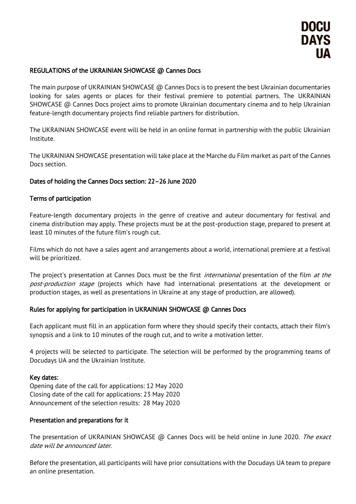# REGULATIONS of the UKRAINIAN SHOWCASE @ Cannes Docs

The main purpose of UKRAINIAN SHOWCASE  $\omega$  Cannes Docs is to present the best Ukrainian documentaries looking for sales agents or places for their festival premiere to potential partners. The UKRAINIAN SHOWCASE @ Cannes Docs project aims to promote Ukrainian documentary cinema and to help Ukrainian feature-length documentary projects find reliable partners for distribution.

The UKRAINIAN SHOWCASE event will be held in an online format in partnership with the public Ukrainian Institute.

The UKRAINIAN SHOWCASE presentation will take place at the Marche du Film market as part of the Cannes Docs section.

## Dates of holding the Cannes Docs section: 22–26 June 2020

## Terms of participation

Feature-length documentary projects in the genre of creative and auteur documentary for festival and cinema distribution may apply. These projects must be at the post-production stage, prepared to present at least 10 minutes of the future film's rough cut.

Films which do not have a sales agent and arrangements about a world, international premiere at a festival will be prioritized.

The project's presentation at Cannes Docs must be the first *international* presentation of the film at the post-production stage (projects which have had international presentations at the development or production stages, as well as presentations in Ukraine at any stage of production, are allowed).

## Rules for applying for participation in UKRAINIAN SHOWCASE @ Cannes Docs

Each applicant must fill in an application form where they should specify their contacts, attach their film's synopsis and a link to 10 minutes of the rough cut, and to write a motivation letter.

4 projects will be selected to participate. The selection will be performed by the programming teams of Docudays UA and the Ukrainian Institute.

### Key dates:

Opening date of the call for applications: 12 May 2020 Closing date of the call for applications: 23 May 2020 Announcement of the selection results: 28 May 2020

### Presentation and preparations for it

The presentation of UKRAINIAN SHOWCASE @ Cannes Docs will be held online in June 2020. The exact date will be announced later.

Before the presentation, all participants will have prior consultations with the Docudays UA team to prepare an online presentation.